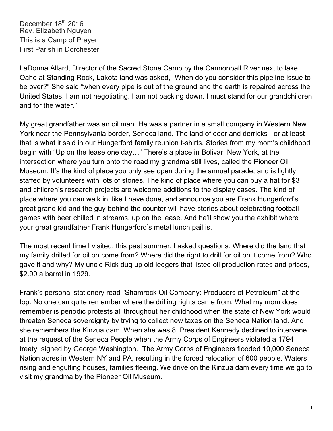LaDonna Allard, Director of the Sacred Stone Camp by the Cannonball River next to lake Oahe at Standing Rock, Lakota land was asked, "When do you consider this pipeline issue to be over?" She said "when every pipe is out of the ground and the earth is repaired across the United States. I am not negotiating, I am not backing down. I must stand for our grandchildren and for the water."

My great grandfather was an oil man. He was a partner in a small company in Western New York near the Pennsylvania border, Seneca land. The land of deer and derricks - or at least that is what it said in our Hungerford family reunion t-shirts. Stories from my mom's childhood begin with "Up on the lease one day…" There's a place in Bolivar, New York, at the intersection where you turn onto the road my grandma still lives, called the Pioneer Oil Museum. It's the kind of place you only see open during the annual parade, and is lightly staffed by volunteers with lots of stories. The kind of place where you can buy a hat for \$3 and children's research projects are welcome additions to the display cases. The kind of place where you can walk in, like I have done, and announce you are Frank Hungerford's great grand kid and the guy behind the counter will have stories about celebrating football games with beer chilled in streams, up on the lease. And he'll show you the exhibit where your great grandfather Frank Hungerford's metal lunch pail is.

The most recent time I visited, this past summer, I asked questions: Where did the land that my family drilled for oil on come from? Where did the right to drill for oil on it come from? Who gave it and why? My uncle Rick dug up old ledgers that listed oil production rates and prices, \$2.90 a barrel in 1929.

Frank's personal stationery read "Shamrock Oil Company: Producers of Petroleum" at the top. No one can quite remember where the drilling rights came from. What my mom does remember is periodic protests all throughout her childhood when the state of New York would threaten Seneca sovereignty by trying to collect new taxes on the Seneca Nation land. And she remembers the Kinzua dam. When she was 8, President Kennedy declined to intervene at the request of the Seneca People when the Army Corps of Engineers violated a 1794 treaty signed by George Washington. The Army Corps of Engineers flooded 10,000 Seneca Nation acres in Western NY and PA, resulting in the forced relocation of 600 people. Waters rising and engulfing houses, families fleeing. We drive on the Kinzua dam every time we go to visit my grandma by the Pioneer Oil Museum.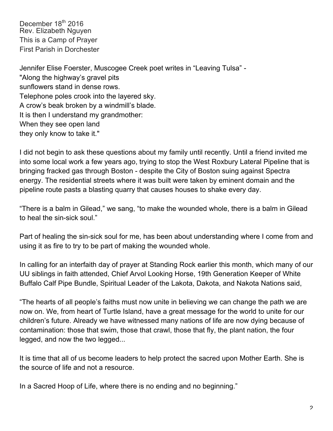Jennifer Elise Foerster, Muscogee Creek poet writes in "Leaving Tulsa" - "Along the highway's gravel pits sunflowers stand in dense rows. Telephone poles crook into the layered sky. A crow's beak broken by a windmill's blade. It is then I understand my grandmother: When they see open land they only know to take it."

I did not begin to ask these questions about my family until recently. Until a friend invited me into some local work a few years ago, trying to stop the West Roxbury Lateral Pipeline that is bringing fracked gas through Boston - despite the City of Boston suing against Spectra energy. The residential streets where it was built were taken by eminent domain and the pipeline route pasts a blasting quarry that causes houses to shake every day.

"There is a balm in Gilead," we sang, "to make the wounded whole, there is a balm in Gilead to heal the sin-sick soul."

Part of healing the sin-sick soul for me, has been about understanding where I come from and using it as fire to try to be part of making the wounded whole.

In calling for an interfaith day of prayer at Standing Rock earlier this month, which many of our UU siblings in faith attended, Chief Arvol Looking Horse, 19th Generation Keeper of White Buffalo Calf Pipe Bundle, Spiritual Leader of the Lakota, Dakota, and Nakota Nations said,

"The hearts of all people's faiths must now unite in believing we can change the path we are now on. We, from heart of Turtle Island, have a great message for the world to unite for our children's future. Already we have witnessed many nations of life are now dying because of contamination: those that swim, those that crawl, those that fly, the plant nation, the four legged, and now the two legged...

It is time that all of us become leaders to help protect the sacred upon Mother Earth. She is the source of life and not a resource.

In a Sacred Hoop of Life, where there is no ending and no beginning."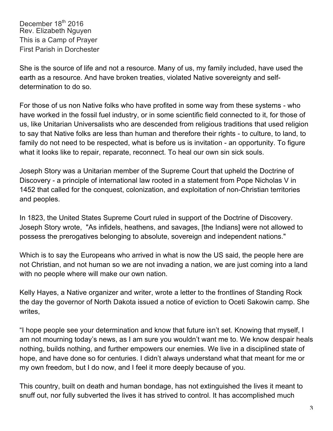She is the source of life and not a resource. Many of us, my family included, have used the earth as a resource. And have broken treaties, violated Native sovereignty and selfdetermination to do so.

For those of us non Native folks who have profited in some way from these systems - who have worked in the fossil fuel industry, or in some scientific field connected to it, for those of us, like Unitarian Universalists who are descended from religious traditions that used religion to say that Native folks are less than human and therefore their rights - to culture, to land, to family do not need to be respected, what is before us is invitation - an opportunity. To figure what it looks like to repair, reparate, reconnect. To heal our own sin sick souls.

Joseph Story was a Unitarian member of the Supreme Court that upheld the Doctrine of Discovery - a principle of international law rooted in a statement from Pope Nicholas V in 1452 that called for the conquest, colonization, and exploitation of non-Christian territories and peoples.

In 1823, the United States Supreme Court ruled in support of the Doctrine of Discovery. Joseph Story wrote, "As infidels, heathens, and savages, [the Indians] were not allowed to possess the prerogatives belonging to absolute, sovereign and independent nations."

Which is to say the Europeans who arrived in what is now the US said, the people here are not Christian, and not human so we are not invading a nation, we are just coming into a land with no people where will make our own nation.

Kelly Hayes, a Native organizer and writer, wrote a letter to the frontlines of Standing Rock the day the governor of North Dakota issued a notice of eviction to Oceti Sakowin camp. She writes,

"I hope people see your determination and know that future isn't set. Knowing that myself, I am not mourning today's news, as I am sure you wouldn't want me to. We know despair heals nothing, builds nothing, and further empowers our enemies. We live in a disciplined state of hope, and have done so for centuries. I didn't always understand what that meant for me or my own freedom, but I do now, and I feel it more deeply because of you.

This country, built on death and human bondage, has not extinguished the lives it meant to snuff out, nor fully subverted the lives it has strived to control. It has accomplished much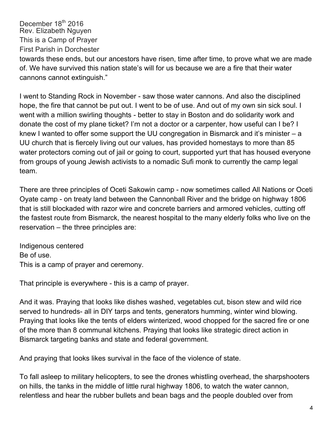towards these ends, but our ancestors have risen, time after time, to prove what we are made of. We have survived this nation state's will for us because we are a fire that their water cannons cannot extinguish."

I went to Standing Rock in November - saw those water cannons. And also the disciplined hope, the fire that cannot be put out. I went to be of use. And out of my own sin sick soul. I went with a million swirling thoughts - better to stay in Boston and do solidarity work and donate the cost of my plane ticket? I'm not a doctor or a carpenter, how useful can I be? I knew I wanted to offer some support the UU congregation in Bismarck and it's minister – a UU church that is fiercely living out our values, has provided homestays to more than 85 water protectors coming out of jail or going to court, supported yurt that has housed everyone from groups of young Jewish activists to a nomadic Sufi monk to currently the camp legal team.

There are three principles of Oceti Sakowin camp - now sometimes called All Nations or Oceti Oyate camp - on treaty land between the Cannonball River and the bridge on highway 1806 that is still blockaded with razor wire and concrete barriers and armored vehicles, cutting off the fastest route from Bismarck, the nearest hospital to the many elderly folks who live on the reservation – the three principles are:

Indigenous centered Be of use. This is a camp of prayer and ceremony.

That principle is everywhere - this is a camp of prayer.

And it was. Praying that looks like dishes washed, vegetables cut, bison stew and wild rice served to hundreds- all in DIY tarps and tents, generators humming, winter wind blowing. Praying that looks like the tents of elders winterized, wood chopped for the sacred fire or one of the more than 8 communal kitchens. Praying that looks like strategic direct action in Bismarck targeting banks and state and federal government.

And praying that looks likes survival in the face of the violence of state.

To fall asleep to military helicopters, to see the drones whistling overhead, the sharpshooters on hills, the tanks in the middle of little rural highway 1806, to watch the water cannon, relentless and hear the rubber bullets and bean bags and the people doubled over from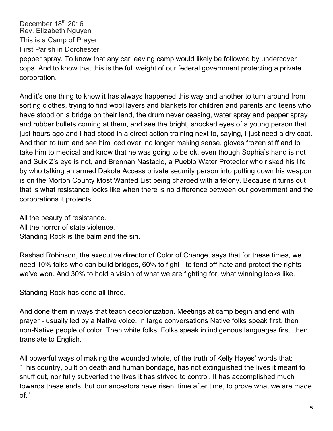pepper spray. To know that any car leaving camp would likely be followed by undercover cops. And to know that this is the full weight of our federal government protecting a private corporation.

And it's one thing to know it has always happened this way and another to turn around from sorting clothes, trying to find wool layers and blankets for children and parents and teens who have stood on a bridge on their land, the drum never ceasing, water spray and pepper spray and rubber bullets coming at them, and see the bright, shocked eyes of a young person that just hours ago and I had stood in a direct action training next to, saying, I just need a dry coat. And then to turn and see him iced over, no longer making sense, gloves frozen stiff and to take him to medical and know that he was going to be ok, even though Sophia's hand is not and Suix Z's eye is not, and Brennan Nastacio, a Pueblo Water Protector who risked his life by who talking an armed Dakota Access private security person into putting down his weapon is on the Morton County Most Wanted List being charged with a felony. Because it turns out that is what resistance looks like when there is no difference between our government and the corporations it protects.

All the beauty of resistance. All the horror of state violence. Standing Rock is the balm and the sin.

Rashad Robinson, the executive director of Color of Change, says that for these times, we need 10% folks who can build bridges, 60% to fight - to fend off hate and protect the rights we've won. And 30% to hold a vision of what we are fighting for, what winning looks like.

Standing Rock has done all three.

And done them in ways that teach decolonization. Meetings at camp begin and end with prayer - usually led by a Native voice. In large conversations Native folks speak first, then non-Native people of color. Then white folks. Folks speak in indigenous languages first, then translate to English.

All powerful ways of making the wounded whole, of the truth of Kelly Hayes' words that: "This country, built on death and human bondage, has not extinguished the lives it meant to snuff out, nor fully subverted the lives it has strived to control. It has accomplished much towards these ends, but our ancestors have risen, time after time, to prove what we are made of."